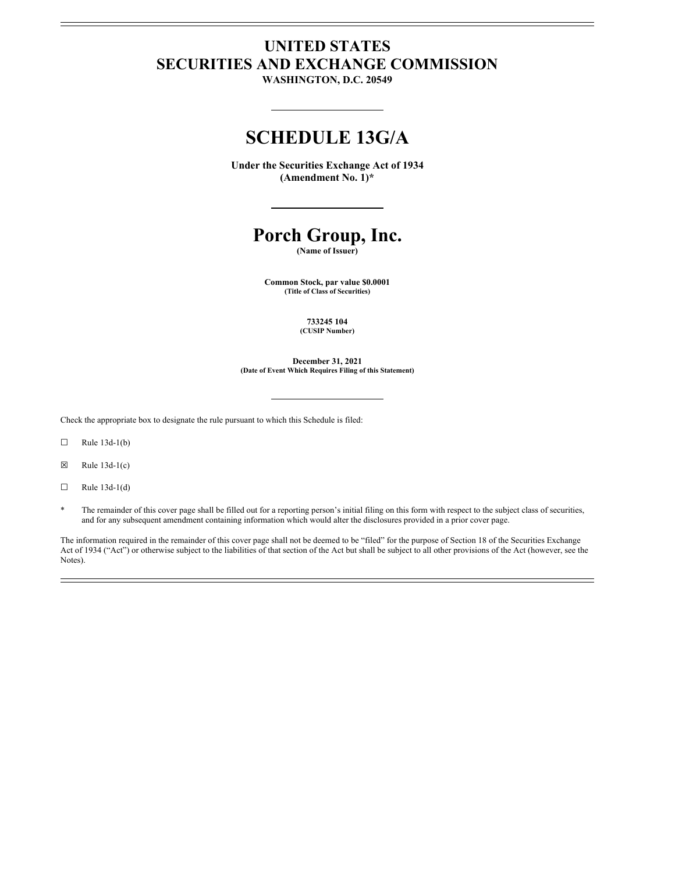# **UNITED STATES SECURITIES AND EXCHANGE COMMISSION**

**WASHINGTON, D.C. 20549**

# **SCHEDULE 13G/A**

**Under the Securities Exchange Act of 1934 (Amendment No. 1)\***

# **Porch Group, Inc.**

**(Name of Issuer)**

**Common Stock, par value \$0.0001 (Title of Class of Securities)**

> **733245 104 (CUSIP Number)**

**December 31, 2021 (Date of Event Which Requires Filing of this Statement)**

Check the appropriate box to designate the rule pursuant to which this Schedule is filed:

 $\Box$  Rule 13d-1(b)

 $\boxtimes$  Rule 13d-1(c)

 $\Box$  Rule 13d-1(d)

The remainder of this cover page shall be filled out for a reporting person's initial filing on this form with respect to the subject class of securities, and for any subsequent amendment containing information which would alter the disclosures provided in a prior cover page.

The information required in the remainder of this cover page shall not be deemed to be "filed" for the purpose of Section 18 of the Securities Exchange Act of 1934 ("Act") or otherwise subject to the liabilities of that section of the Act but shall be subject to all other provisions of the Act (however, see the Notes).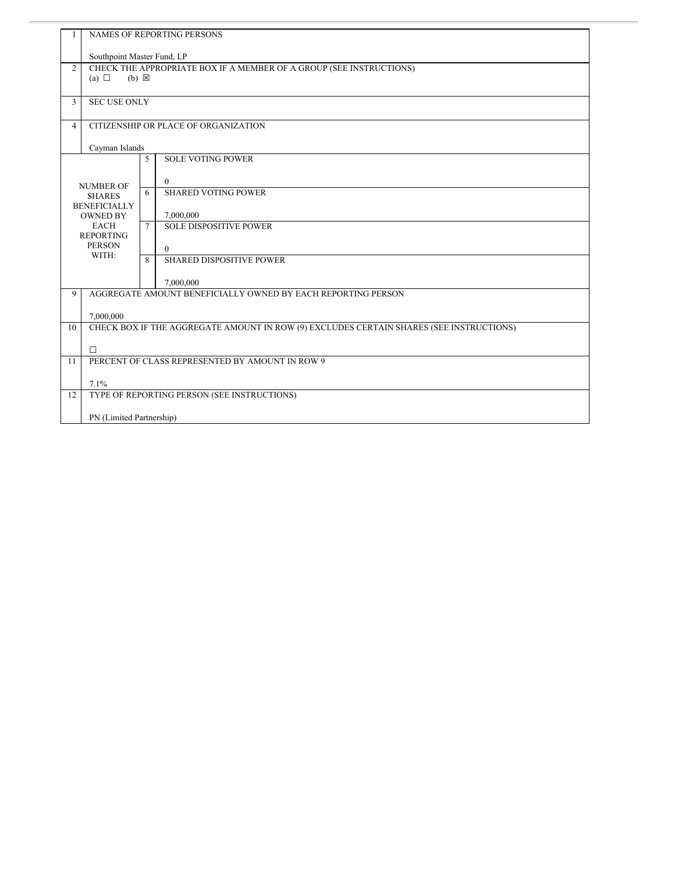| 1                | <b>NAMES OF REPORTING PERSONS</b>                                   |              |                                                                                         |  |  |
|------------------|---------------------------------------------------------------------|--------------|-----------------------------------------------------------------------------------------|--|--|
|                  | Southpoint Master Fund, LP                                          |              |                                                                                         |  |  |
| $\overline{2}$   | CHECK THE APPROPRIATE BOX IF A MEMBER OF A GROUP (SEE INSTRUCTIONS) |              |                                                                                         |  |  |
|                  | (a) $\Box$<br>$(b) \boxtimes$                                       |              |                                                                                         |  |  |
| $\overline{3}$   | <b>SEC USE ONLY</b>                                                 |              |                                                                                         |  |  |
|                  |                                                                     |              |                                                                                         |  |  |
| $\overline{4}$   | CITIZENSHIP OR PLACE OF ORGANIZATION                                |              |                                                                                         |  |  |
|                  | Cayman Islands                                                      |              |                                                                                         |  |  |
|                  |                                                                     | 5            | <b>SOLE VOTING POWER</b>                                                                |  |  |
|                  |                                                                     |              | $\theta$                                                                                |  |  |
|                  | <b>NUMBER OF</b><br><b>SHARES</b>                                   | 6            | <b>SHARED VOTING POWER</b>                                                              |  |  |
|                  | <b>BENEFICIALLY</b>                                                 |              |                                                                                         |  |  |
|                  | <b>OWNED BY</b><br><b>EACH</b>                                      | $\tau$       | 7,000,000<br><b>SOLE DISPOSITIVE POWER</b>                                              |  |  |
| <b>REPORTING</b> |                                                                     |              |                                                                                         |  |  |
|                  | <b>PERSON</b><br>WITH:                                              |              | $\Omega$                                                                                |  |  |
|                  |                                                                     | $\mathbf{8}$ | <b>SHARED DISPOSITIVE POWER</b>                                                         |  |  |
|                  |                                                                     |              | 7,000,000                                                                               |  |  |
| 9                | AGGREGATE AMOUNT BENEFICIALLY OWNED BY EACH REPORTING PERSON        |              |                                                                                         |  |  |
|                  |                                                                     |              |                                                                                         |  |  |
| 10               | 7,000,000                                                           |              | CHECK BOX IF THE AGGREGATE AMOUNT IN ROW (9) EXCLUDES CERTAIN SHARES (SEE INSTRUCTIONS) |  |  |
|                  |                                                                     |              |                                                                                         |  |  |
| 11               | $\Box$<br>PERCENT OF CLASS REPRESENTED BY AMOUNT IN ROW 9           |              |                                                                                         |  |  |
|                  |                                                                     |              |                                                                                         |  |  |
|                  | 7.1%                                                                |              |                                                                                         |  |  |
| 12               |                                                                     |              | TYPE OF REPORTING PERSON (SEE INSTRUCTIONS)                                             |  |  |
|                  | PN (Limited Partnership)                                            |              |                                                                                         |  |  |
|                  |                                                                     |              |                                                                                         |  |  |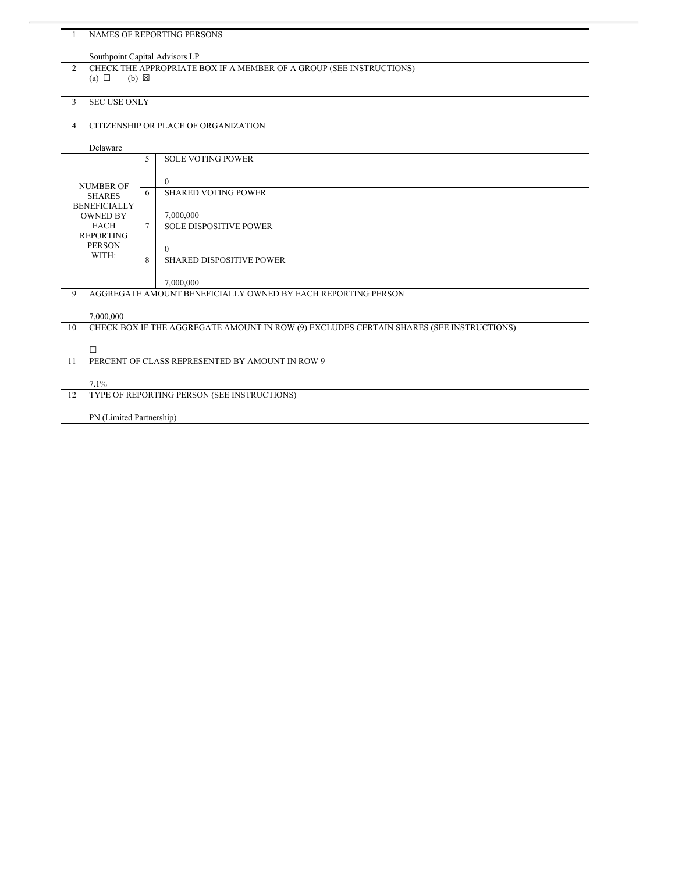| $\mathbf{1}$   | <b>NAMES OF REPORTING PERSONS</b>                                                                    |              |                                 |  |
|----------------|------------------------------------------------------------------------------------------------------|--------------|---------------------------------|--|
|                | Southpoint Capital Advisors LP                                                                       |              |                                 |  |
| $\overline{2}$ | CHECK THE APPROPRIATE BOX IF A MEMBER OF A GROUP (SEE INSTRUCTIONS)<br>(a) $\Box$<br>$(b) \boxtimes$ |              |                                 |  |
| 3              | <b>SEC USE ONLY</b>                                                                                  |              |                                 |  |
| $\overline{4}$ | CITIZENSHIP OR PLACE OF ORGANIZATION                                                                 |              |                                 |  |
|                | Delaware                                                                                             |              |                                 |  |
|                |                                                                                                      | 5            | <b>SOLE VOTING POWER</b>        |  |
|                | <b>NUMBER OF</b>                                                                                     |              | $\theta$                        |  |
|                | <b>SHARES</b>                                                                                        | 6            | <b>SHARED VOTING POWER</b>      |  |
|                | <b>BENEFICIALLY</b><br><b>OWNED BY</b>                                                               |              | 7,000,000                       |  |
|                | <b>EACH</b><br><b>REPORTING</b><br><b>PERSON</b>                                                     |              | <b>SOLE DISPOSITIVE POWER</b>   |  |
|                |                                                                                                      |              | $\theta$                        |  |
|                | WITH:                                                                                                | $\mathbf{8}$ | <b>SHARED DISPOSITIVE POWER</b> |  |
|                |                                                                                                      |              | 7,000,000                       |  |
| 9              | AGGREGATE AMOUNT BENEFICIALLY OWNED BY EACH REPORTING PERSON                                         |              |                                 |  |
|                | 7,000,000                                                                                            |              |                                 |  |
| 10             | CHECK BOX IF THE AGGREGATE AMOUNT IN ROW (9) EXCLUDES CERTAIN SHARES (SEE INSTRUCTIONS)              |              |                                 |  |
|                | $\Box$                                                                                               |              |                                 |  |
| 11             | PERCENT OF CLASS REPRESENTED BY AMOUNT IN ROW 9                                                      |              |                                 |  |
|                | 7.1%                                                                                                 |              |                                 |  |
| 12             | TYPE OF REPORTING PERSON (SEE INSTRUCTIONS)                                                          |              |                                 |  |
|                | PN (Limited Partnership)                                                                             |              |                                 |  |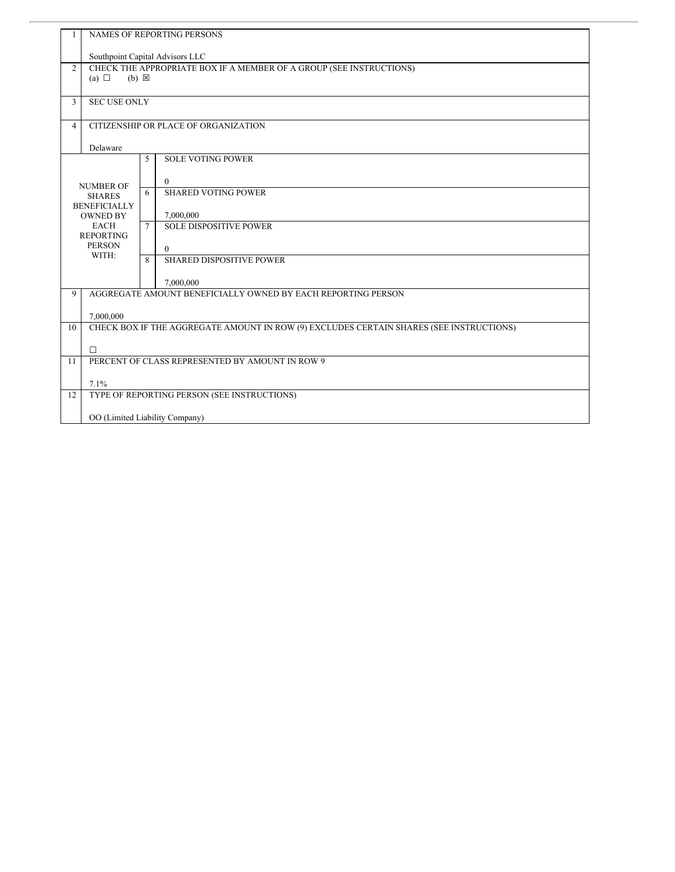| 1              | <b>NAMES OF REPORTING PERSONS</b>                                                       |              |                                             |  |  |
|----------------|-----------------------------------------------------------------------------------------|--------------|---------------------------------------------|--|--|
|                | Southpoint Capital Advisors LLC                                                         |              |                                             |  |  |
| $\overline{2}$ | CHECK THE APPROPRIATE BOX IF A MEMBER OF A GROUP (SEE INSTRUCTIONS)                     |              |                                             |  |  |
|                | (a) $\Box$<br>$(b) \boxtimes$                                                           |              |                                             |  |  |
| 3              | <b>SEC USE ONLY</b>                                                                     |              |                                             |  |  |
|                |                                                                                         |              |                                             |  |  |
| $\overline{4}$ | CITIZENSHIP OR PLACE OF ORGANIZATION                                                    |              |                                             |  |  |
|                | Delaware                                                                                |              |                                             |  |  |
|                |                                                                                         | 5            | <b>SOLE VOTING POWER</b>                    |  |  |
|                |                                                                                         |              | $\overline{0}$                              |  |  |
|                | <b>NUMBER OF</b><br><b>SHARES</b>                                                       | 6            | <b>SHARED VOTING POWER</b>                  |  |  |
|                | <b>BENEFICIALLY</b>                                                                     |              |                                             |  |  |
|                | <b>OWNED BY</b><br><b>EACH</b>                                                          | $\tau$       | 7,000,000<br><b>SOLE DISPOSITIVE POWER</b>  |  |  |
|                | <b>REPORTING</b>                                                                        |              |                                             |  |  |
|                | <b>PERSON</b><br>WITH:                                                                  |              | $\Omega$<br><b>SHARED DISPOSITIVE POWER</b> |  |  |
|                |                                                                                         | $\mathbf{8}$ |                                             |  |  |
|                | 7,000,000                                                                               |              |                                             |  |  |
| 9              | AGGREGATE AMOUNT BENEFICIALLY OWNED BY EACH REPORTING PERSON                            |              |                                             |  |  |
|                | 7,000,000                                                                               |              |                                             |  |  |
| 10             | CHECK BOX IF THE AGGREGATE AMOUNT IN ROW (9) EXCLUDES CERTAIN SHARES (SEE INSTRUCTIONS) |              |                                             |  |  |
|                | $\Box$                                                                                  |              |                                             |  |  |
| 11             | PERCENT OF CLASS REPRESENTED BY AMOUNT IN ROW 9                                         |              |                                             |  |  |
|                |                                                                                         |              |                                             |  |  |
| 12             | 7.1%<br>TYPE OF REPORTING PERSON (SEE INSTRUCTIONS)                                     |              |                                             |  |  |
|                |                                                                                         |              |                                             |  |  |
|                | OO (Limited Liability Company)                                                          |              |                                             |  |  |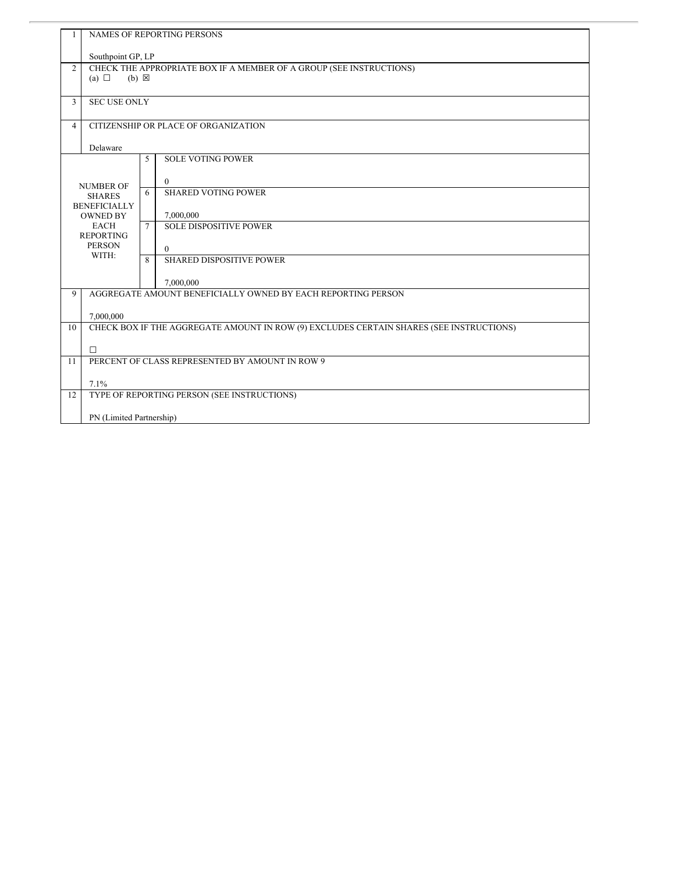| 1              | <b>NAMES OF REPORTING PERSONS</b>                                   |              |                                                                                         |  |
|----------------|---------------------------------------------------------------------|--------------|-----------------------------------------------------------------------------------------|--|
|                | Southpoint GP, LP                                                   |              |                                                                                         |  |
| $\overline{c}$ | CHECK THE APPROPRIATE BOX IF A MEMBER OF A GROUP (SEE INSTRUCTIONS) |              |                                                                                         |  |
|                | (a) $\Box$<br>$(b) \boxtimes$                                       |              |                                                                                         |  |
| 3              | <b>SEC USE ONLY</b>                                                 |              |                                                                                         |  |
|                |                                                                     |              |                                                                                         |  |
| $\overline{4}$ | CITIZENSHIP OR PLACE OF ORGANIZATION                                |              |                                                                                         |  |
|                | Delaware                                                            |              |                                                                                         |  |
|                |                                                                     | 5            | <b>SOLE VOTING POWER</b>                                                                |  |
|                |                                                                     |              |                                                                                         |  |
|                | <b>NUMBER OF</b>                                                    | 6            | $\Omega$<br><b>SHARED VOTING POWER</b>                                                  |  |
|                | <b>SHARES</b><br><b>BENEFICIALLY</b>                                |              |                                                                                         |  |
|                | <b>OWNED BY</b>                                                     |              | 7,000,000                                                                               |  |
|                | <b>EACH</b><br><b>REPORTING</b>                                     | $\tau$       | <b>SOLE DISPOSITIVE POWER</b>                                                           |  |
|                | <b>PERSON</b>                                                       |              | $\theta$                                                                                |  |
|                | WITH:                                                               | $\mathbf{8}$ | <b>SHARED DISPOSITIVE POWER</b>                                                         |  |
|                |                                                                     |              |                                                                                         |  |
| 9              |                                                                     |              | 7,000,000<br>AGGREGATE AMOUNT BENEFICIALLY OWNED BY EACH REPORTING PERSON               |  |
|                |                                                                     |              |                                                                                         |  |
|                | 7,000,000                                                           |              |                                                                                         |  |
| 10             |                                                                     |              | CHECK BOX IF THE AGGREGATE AMOUNT IN ROW (9) EXCLUDES CERTAIN SHARES (SEE INSTRUCTIONS) |  |
|                | $\Box$                                                              |              |                                                                                         |  |
| 11             | PERCENT OF CLASS REPRESENTED BY AMOUNT IN ROW 9                     |              |                                                                                         |  |
|                |                                                                     |              |                                                                                         |  |
| 12             | 7.1%<br>TYPE OF REPORTING PERSON (SEE INSTRUCTIONS)                 |              |                                                                                         |  |
|                |                                                                     |              |                                                                                         |  |
|                | PN (Limited Partnership)                                            |              |                                                                                         |  |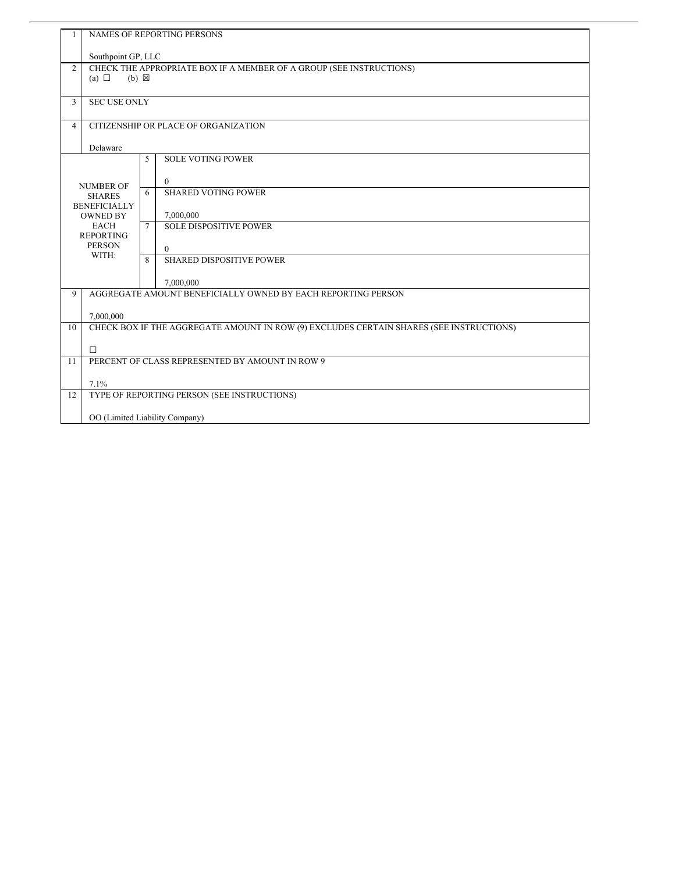| 1              | <b>NAMES OF REPORTING PERSONS</b>                                   |              |                                                                                         |  |
|----------------|---------------------------------------------------------------------|--------------|-----------------------------------------------------------------------------------------|--|
|                | Southpoint GP, LLC                                                  |              |                                                                                         |  |
| $\overline{2}$ | CHECK THE APPROPRIATE BOX IF A MEMBER OF A GROUP (SEE INSTRUCTIONS) |              |                                                                                         |  |
|                | (a) $\Box$<br>$(b) \boxtimes$                                       |              |                                                                                         |  |
| 3              | <b>SEC USE ONLY</b>                                                 |              |                                                                                         |  |
|                |                                                                     |              |                                                                                         |  |
| $\overline{4}$ |                                                                     |              | CITIZENSHIP OR PLACE OF ORGANIZATION                                                    |  |
|                | Delaware                                                            |              |                                                                                         |  |
|                |                                                                     | 5            | <b>SOLE VOTING POWER</b>                                                                |  |
|                |                                                                     |              | $\overline{0}$                                                                          |  |
|                | <b>NUMBER OF</b><br><b>SHARES</b>                                   | 6            | <b>SHARED VOTING POWER</b>                                                              |  |
|                | <b>BENEFICIALLY</b>                                                 |              |                                                                                         |  |
|                | <b>OWNED BY</b><br><b>EACH</b>                                      | $\tau$       | 7,000,000<br><b>SOLE DISPOSITIVE POWER</b>                                              |  |
|                | <b>REPORTING</b>                                                    |              |                                                                                         |  |
|                | <b>PERSON</b><br>WITH:                                              |              | $\Omega$                                                                                |  |
|                |                                                                     | $\mathbf{8}$ | <b>SHARED DISPOSITIVE POWER</b>                                                         |  |
|                |                                                                     |              | 7,000,000                                                                               |  |
| 9              | AGGREGATE AMOUNT BENEFICIALLY OWNED BY EACH REPORTING PERSON        |              |                                                                                         |  |
|                | 7,000,000                                                           |              |                                                                                         |  |
| 10             |                                                                     |              | CHECK BOX IF THE AGGREGATE AMOUNT IN ROW (9) EXCLUDES CERTAIN SHARES (SEE INSTRUCTIONS) |  |
|                |                                                                     |              |                                                                                         |  |
| 11             | $\Box$<br>PERCENT OF CLASS REPRESENTED BY AMOUNT IN ROW 9           |              |                                                                                         |  |
|                |                                                                     |              |                                                                                         |  |
|                | 7.1%                                                                |              |                                                                                         |  |
| 12             | TYPE OF REPORTING PERSON (SEE INSTRUCTIONS)                         |              |                                                                                         |  |
|                | OO (Limited Liability Company)                                      |              |                                                                                         |  |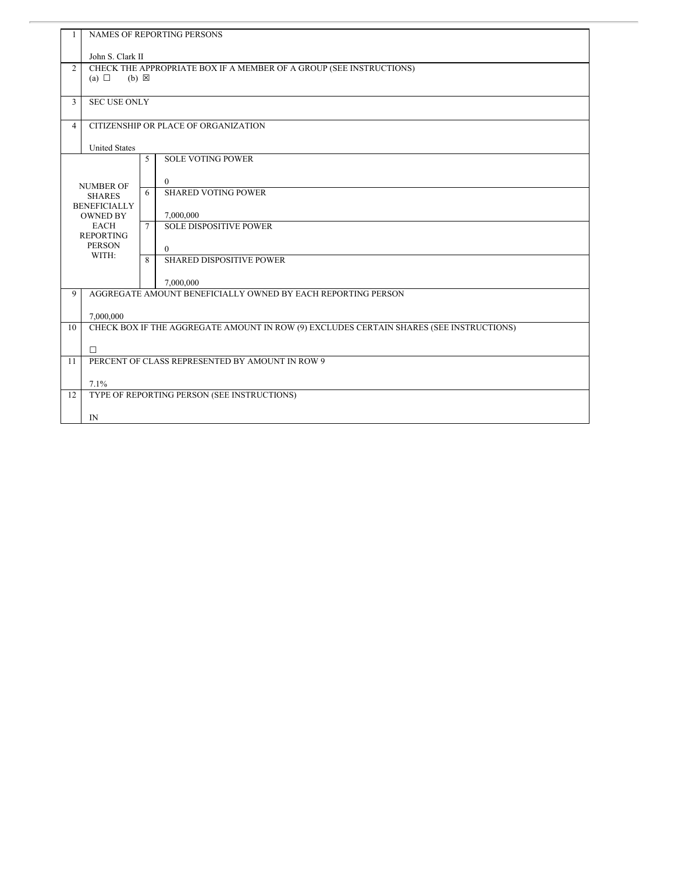| $\mathbf{1}$   | NAMES OF REPORTING PERSONS                                                              |   |                                 |  |
|----------------|-----------------------------------------------------------------------------------------|---|---------------------------------|--|
|                | John S. Clark II                                                                        |   |                                 |  |
| $\overline{2}$ | CHECK THE APPROPRIATE BOX IF A MEMBER OF A GROUP (SEE INSTRUCTIONS)                     |   |                                 |  |
|                | (a) $\Box$<br>$(b) \boxtimes$                                                           |   |                                 |  |
| 3              | <b>SEC USE ONLY</b>                                                                     |   |                                 |  |
| $\overline{4}$ | CITIZENSHIP OR PLACE OF ORGANIZATION                                                    |   |                                 |  |
|                | <b>United States</b>                                                                    |   |                                 |  |
|                |                                                                                         | 5 | <b>SOLE VOTING POWER</b>        |  |
|                | <b>NUMBER OF</b>                                                                        |   | $\theta$                        |  |
|                | <b>SHARES</b>                                                                           | 6 | <b>SHARED VOTING POWER</b>      |  |
|                | <b>BENEFICIALLY</b><br><b>OWNED BY</b>                                                  |   | 7,000,000                       |  |
|                | <b>EACH</b><br><b>REPORTING</b><br><b>PERSON</b>                                        |   | <b>SOLE DISPOSITIVE POWER</b>   |  |
|                |                                                                                         |   | $\Omega$                        |  |
|                | WITH:                                                                                   | 8 | <b>SHARED DISPOSITIVE POWER</b> |  |
|                |                                                                                         |   | 7,000,000                       |  |
| 9              | AGGREGATE AMOUNT BENEFICIALLY OWNED BY EACH REPORTING PERSON                            |   |                                 |  |
|                | 7,000,000                                                                               |   |                                 |  |
| 10             | CHECK BOX IF THE AGGREGATE AMOUNT IN ROW (9) EXCLUDES CERTAIN SHARES (SEE INSTRUCTIONS) |   |                                 |  |
|                | $\Box$                                                                                  |   |                                 |  |
| 11             | PERCENT OF CLASS REPRESENTED BY AMOUNT IN ROW 9                                         |   |                                 |  |
|                | 7.1%                                                                                    |   |                                 |  |
| 12             | TYPE OF REPORTING PERSON (SEE INSTRUCTIONS)                                             |   |                                 |  |
|                | $\mathbb{N}$                                                                            |   |                                 |  |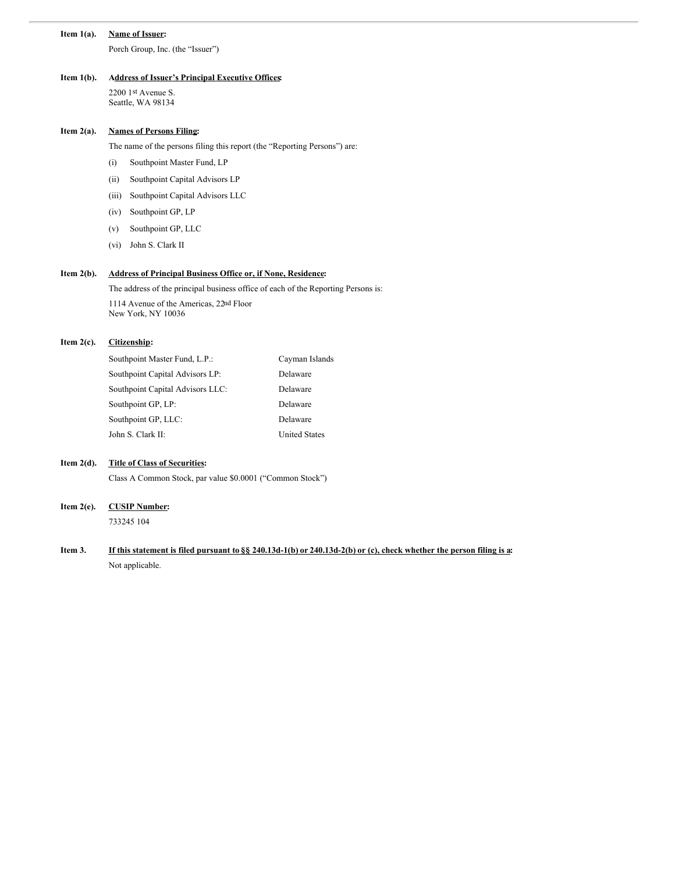#### **Item 1(a). Name of Issuer:**

Porch Group, Inc. (the "Issuer")

#### **Item 1(b). Address of Issuer's Principal Executive Offices:**

2200 1st Avenue S. Seattle, WA 98134

# **Item 2(a). Names of Persons Filing:**

The name of the persons filing this report (the "Reporting Persons") are:

- (i) Southpoint Master Fund, LP
- (ii) Southpoint Capital Advisors LP
- (iii) Southpoint Capital Advisors LLC
- (iv) Southpoint GP, LP
- (v) Southpoint GP, LLC
- (vi) John S. Clark II

# **Item 2(b). Address of Principal Business Office or, if None, Residence:**

The address of the principal business office of each of the Reporting Persons is:

1114 Avenue of the Americas, 22nd Floor New York, NY 10036

#### **Item 2(c). Citizenship:**

| Southpoint Master Fund, L.P.:    | Cayman Islands       |
|----------------------------------|----------------------|
| Southpoint Capital Advisors LP:  | Delaware             |
| Southpoint Capital Advisors LLC: | Delaware             |
| Southpoint GP, LP:               | Delaware             |
| Southpoint GP, LLC:              | Delaware             |
| John S. Clark II:                | <b>United States</b> |
|                                  |                      |

### **Item 2(d). Title of Class of Securities:**

Class A Common Stock, par value \$0.0001 ("Common Stock")

#### **Item 2(e). CUSIP Number:**

733245 104

Item 3. If this statement is filed pursuant to §§ 240.13d-1(b) or 240.13d-2(b) or (c), check whether the person filing is a: Not applicable.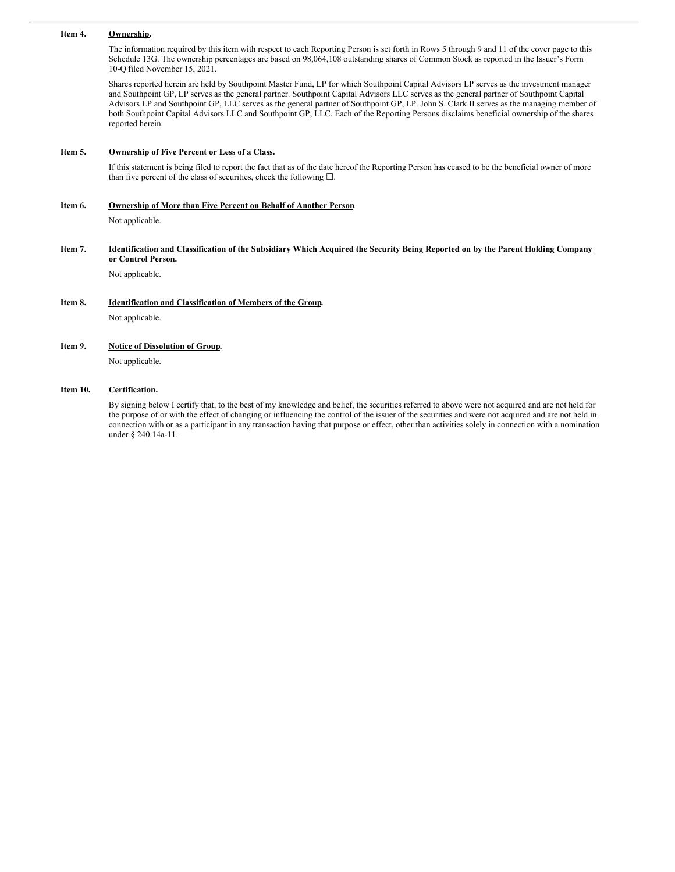#### **Item 4. Ownership.**

The information required by this item with respect to each Reporting Person is set forth in Rows 5 through 9 and 11 of the cover page to this Schedule 13G. The ownership percentages are based on 98,064,108 outstanding shares of Common Stock as reported in the Issuer's Form 10-Q filed November 15, 2021.

Shares reported herein are held by Southpoint Master Fund, LP for which Southpoint Capital Advisors LP serves as the investment manager and Southpoint GP, LP serves as the general partner. Southpoint Capital Advisors LLC serves as the general partner of Southpoint Capital Advisors LP and Southpoint GP, LLC serves as the general partner of Southpoint GP, LP. John S. Clark II serves as the managing member of both Southpoint Capital Advisors LLC and Southpoint GP, LLC. Each of the Reporting Persons disclaims beneficial ownership of the shares reported herein.

#### **Item 5. Ownership of Five Percent or Less of a Class.**

If this statement is being filed to report the fact that as of the date hereof the Reporting Person has ceased to be the beneficial owner of more than five percent of the class of securities, check the following  $\square$ .

# **Item 6. Ownership of More than Five Percent on Behalf of Another Person.**

Not applicable.

#### Item 7. Identification and Classification of the Subsidiary Which Acquired the Security Being Reported on by the Parent Holding Company **or Control Person.**

Not applicable.

# **Item 8. Identification and Classification of Members of the Group.**

Not applicable.

#### **Item 9. Notice of Dissolution of Group.**

Not applicable.

#### **Item 10. Certification.**

By signing below I certify that, to the best of my knowledge and belief, the securities referred to above were not acquired and are not held for the purpose of or with the effect of changing or influencing the control of the issuer of the securities and were not acquired and are not held in connection with or as a participant in any transaction having that purpose or effect, other than activities solely in connection with a nomination under § 240.14a-11.